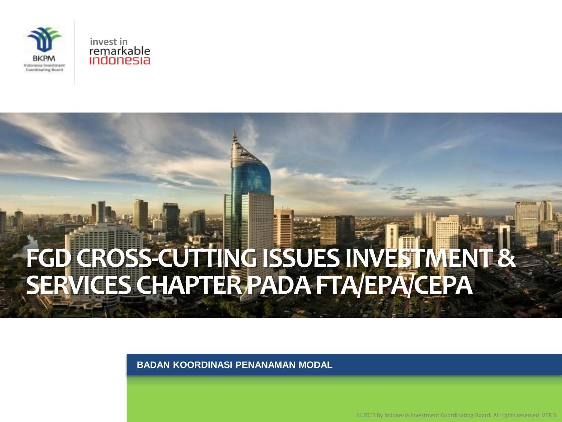



# **FGD CROSS-CUTTING ISSUES INVESTMENT & SERVICES CHAPTER PADA FTA/EPA/CEPA**

**BADAN KOORDINASI PENANAMAN MODAL**

© 2013 by Indonesia Investment Coordinating Board. All rights reserved VER 5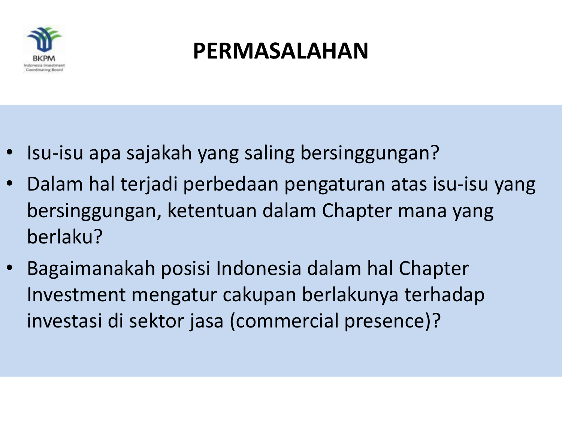

## **PERMASALAHAN**

- Isu-isu apa sajakah yang saling bersinggungan?
- Dalam hal terjadi perbedaan pengaturan atas isu-isu yang bersinggungan, ketentuan dalam Chapter mana yang berlaku?
- Bagaimanakah posisi Indonesia dalam hal Chapter Investment mengatur cakupan berlakunya terhadap investasi di sektor jasa (commercial presence)?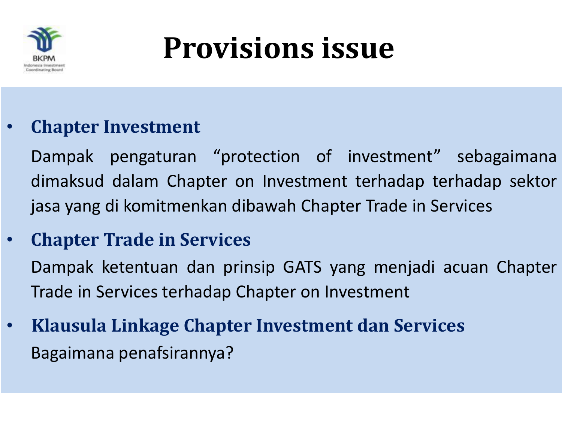

# **Provisions issue**

### • **Chapter Investment**

Dampak pengaturan "protection of investment" sebagaimana dimaksud dalam Chapter on Investment terhadap terhadap sektor jasa yang di komitmenkan dibawah Chapter Trade in Services

### • **Chapter Trade in Services**

Dampak ketentuan dan prinsip GATS yang menjadi acuan Chapter Trade in Services terhadap Chapter on Investment

• **Klausula Linkage Chapter Investment dan Services** Bagaimana penafsirannya?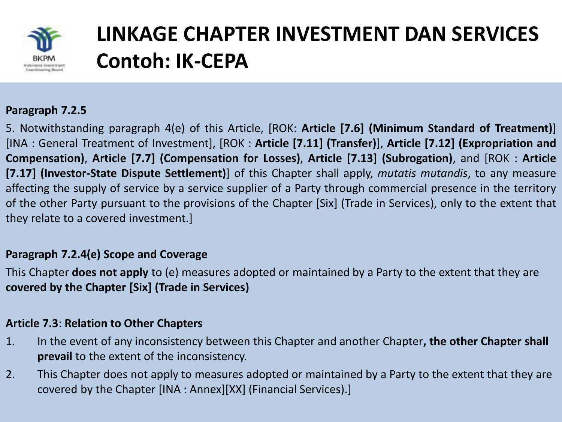

## **LINKAGE CHAPTER INVESTMENT DAN SERVICES Contoh: IK-CEPA**

#### **Paragraph 7.2.5**

5. Notwithstanding paragraph 4(e) of this Article, [ROK: **Article [7.6] (Minimum Standard of Treatment)**] [INA : General Treatment of Investment], [ROK : **Article [7.11] (Transfer)**], **Article [7.12] (Expropriation and Compensation)**, **Article [7.7] (Compensation for Losses)**, **Article [7.13] (Subrogation)**, and [ROK : **Article [7.17] (Investor-State Dispute Settlement)**] of this Chapter shall apply, *mutatis mutandis*, to any measure affecting the supply of service by a service supplier of a Party through commercial presence in the territory of the other Party pursuant to the provisions of the Chapter [Six] (Trade in Services), only to the extent that they relate to a covered investment.]

#### **Paragraph 7.2.4(e) Scope and Coverage**

This Chapter **does not apply** to (e) measures adopted or maintained by a Party to the extent that they are **covered by the Chapter [Six] (Trade in Services)**

#### **Article 7.3**: **Relation to Other Chapters**

- 1. In the event of any inconsistency between this Chapter and another Chapter**, the other Chapter shall prevail** to the extent of the inconsistency.
- 2. This Chapter does not apply to measures adopted or maintained by a Party to the extent that they are covered by the Chapter [INA : Annex][XX] (Financial Services).]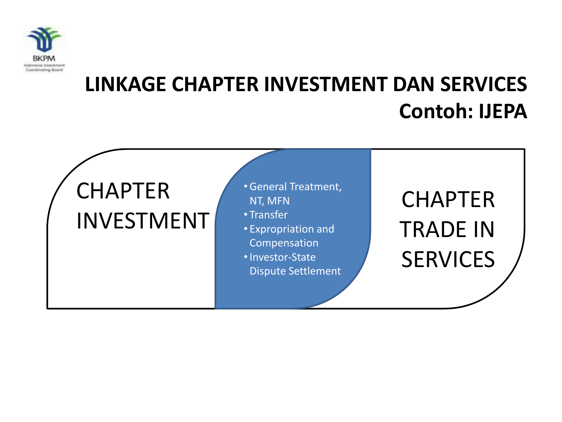

### **LINKAGE CHAPTER INVESTMENT DAN SERVICES Contoh: IJEPA**

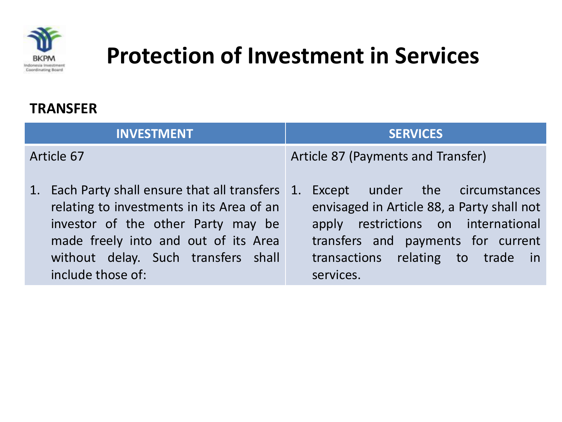

#### **TRANSFER**

| INVESTMENT                                                                                                                                                                                                                              | <b>SERVICES</b>                                                                                                                                                                                             |
|-----------------------------------------------------------------------------------------------------------------------------------------------------------------------------------------------------------------------------------------|-------------------------------------------------------------------------------------------------------------------------------------------------------------------------------------------------------------|
| Article 67                                                                                                                                                                                                                              | Article 87 (Payments and Transfer)                                                                                                                                                                          |
| 1. Each Party shall ensure that all transfers 1.<br>relating to investments in its Area of an<br>investor of the other Party may be<br>made freely into and out of its Area<br>without delay. Such transfers shall<br>include those of: | Except under the circumstances<br>envisaged in Article 88, a Party shall not<br>apply restrictions on international<br>transfers and payments for current<br>transactions relating to trade in<br>services. |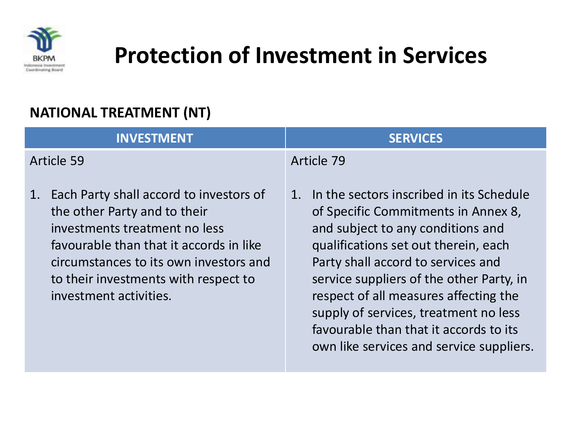

### **NATIONAL TREATMENT (NT)**

| <b>INVESTMENT</b>                                                                                                                                                                                                                                                     | <b>SERVICES</b>                                                                                                                                                                                                                                                                                                                                                                                                              |
|-----------------------------------------------------------------------------------------------------------------------------------------------------------------------------------------------------------------------------------------------------------------------|------------------------------------------------------------------------------------------------------------------------------------------------------------------------------------------------------------------------------------------------------------------------------------------------------------------------------------------------------------------------------------------------------------------------------|
| Article 59                                                                                                                                                                                                                                                            | Article 79                                                                                                                                                                                                                                                                                                                                                                                                                   |
| Each Party shall accord to investors of<br>1.<br>the other Party and to their<br>investments treatment no less<br>favourable than that it accords in like<br>circumstances to its own investors and<br>to their investments with respect to<br>investment activities. | In the sectors inscribed in its Schedule<br>1.<br>of Specific Commitments in Annex 8,<br>and subject to any conditions and<br>qualifications set out therein, each<br>Party shall accord to services and<br>service suppliers of the other Party, in<br>respect of all measures affecting the<br>supply of services, treatment no less<br>favourable than that it accords to its<br>own like services and service suppliers. |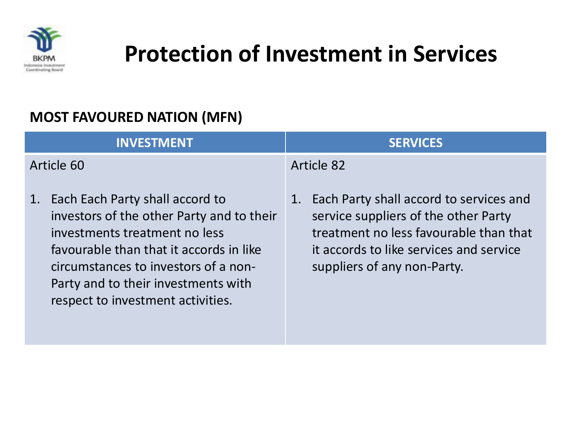

#### **MOST FAVOURED NATION (MFN)**

| <b>INVESTMENT</b>                                                                                                                                                                                                                                                                  | <b>SERVICES</b>                                                                                                                                                                                        |
|------------------------------------------------------------------------------------------------------------------------------------------------------------------------------------------------------------------------------------------------------------------------------------|--------------------------------------------------------------------------------------------------------------------------------------------------------------------------------------------------------|
| Article 60                                                                                                                                                                                                                                                                         | Article 82                                                                                                                                                                                             |
| Each Each Party shall accord to<br>1.<br>investors of the other Party and to their<br>investments treatment no less<br>favourable than that it accords in like<br>circumstances to investors of a non-<br>Party and to their investments with<br>respect to investment activities. | 1. Each Party shall accord to services and<br>service suppliers of the other Party<br>treatment no less favourable than that<br>it accords to like services and service<br>suppliers of any non-Party. |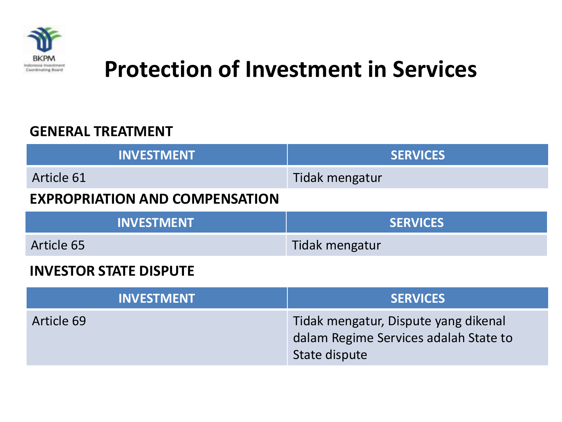

#### **GENERAL TREATMENT**

| <b>SERVICES</b> |
|-----------------|
| Tidak mengatur  |
|                 |
| <b>SERVICES</b> |
| Tidak mengatur  |
|                 |

#### **INVESTOR STATE DISPUTE**

| <b>INVESTMENT</b> | <b>SERVICES</b>                                                                                |
|-------------------|------------------------------------------------------------------------------------------------|
| Article 69        | Tidak mengatur, Dispute yang dikenal<br>dalam Regime Services adalah State to<br>State dispute |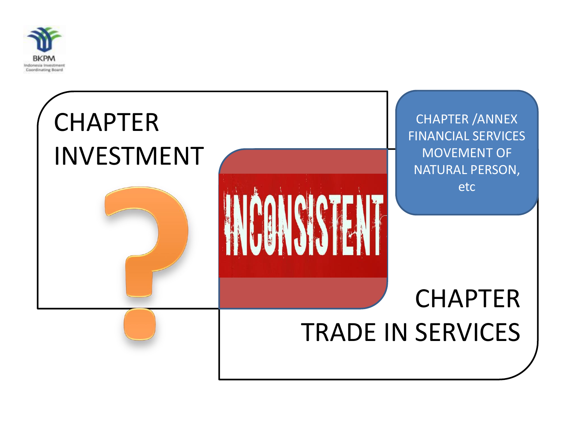